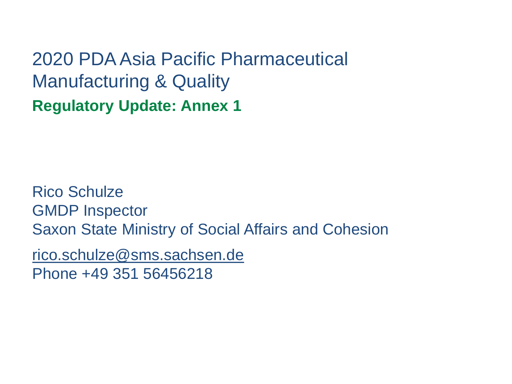2020 PDA Asia Pacific Pharmaceutical Manufacturing & Quality **Regulatory Update: Annex 1**

Rico Schulze GMDP Inspector Saxon State Ministry of Social Affairs and Cohesion

rico.schulze@sms.sachsen.de Phone +49 351 56456218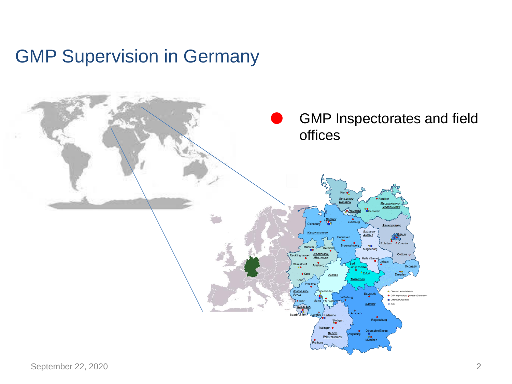#### GMP Supervision in Germany

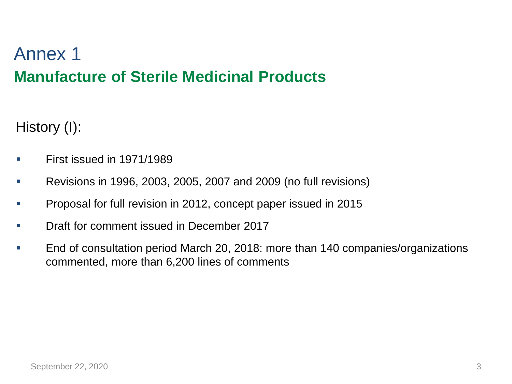## **Manufacture of Sterile Medicinal Products** Annex 1

History (I):

- **EXECUTE:** First issued in 1971/1989
- Revisions in 1996, 2003, 2005, 2007 and 2009 (no full revisions)
- Proposal for full revision in 2012, concept paper issued in 2015
- Draft for comment issued in December 2017
- End of consultation period March 20, 2018: more than 140 companies/organizations commented, more than 6,200 lines of comments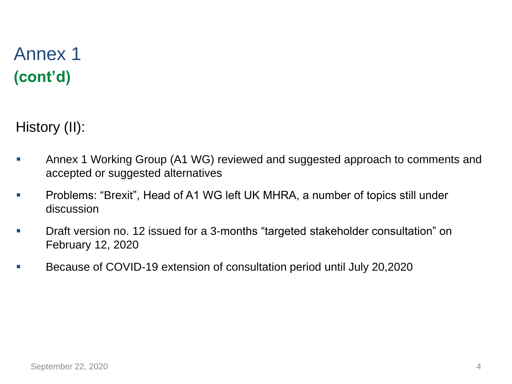## **(cont'd)** Annex 1

History (II):

- **EXED Annex 1 Working Group (A1 WG) reviewed and suggested approach to comments and** accepted or suggested alternatives
- Problems: "Brexit", Head of A1 WG left UK MHRA, a number of topics still under discussion
- Draft version no. 12 issued for a 3-months "targeted stakeholder consultation" on February 12, 2020
- Because of COVID-19 extension of consultation period until July 20,2020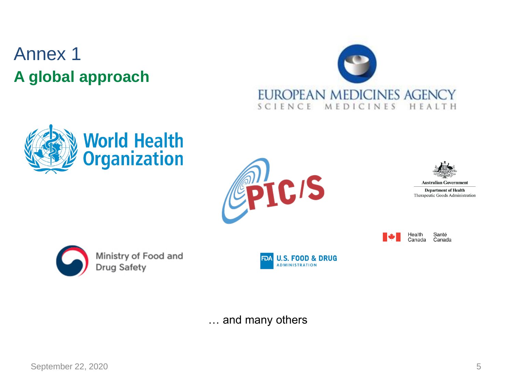# **A global approach** Annex 1









**Australian Government** 

**Department of Health** Therapeutic Goods Administration

Health Canada

Santé Canada



Ministry of Food and **Drug Safety** 



… and many others

September 22, 2020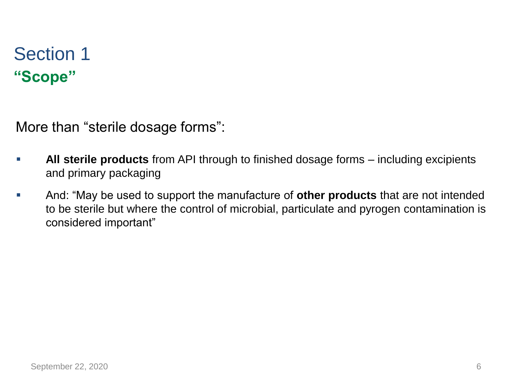## **"Scope"** Section 1

More than "sterile dosage forms":

- **All sterile products** from API through to finished dosage forms including excipients and primary packaging
- And: "May be used to support the manufacture of **other products** that are not intended to be sterile but where the control of microbial, particulate and pyrogen contamination is considered important"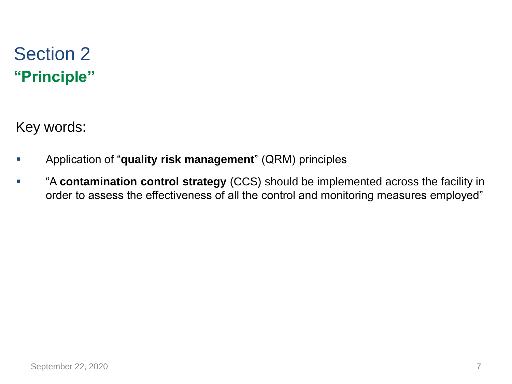## **"Principle"** Section 2

Key words:

- Application of "**quality risk management**" (QRM) principles
- "A **contamination control strategy** (CCS) should be implemented across the facility in order to assess the effectiveness of all the control and monitoring measures employed"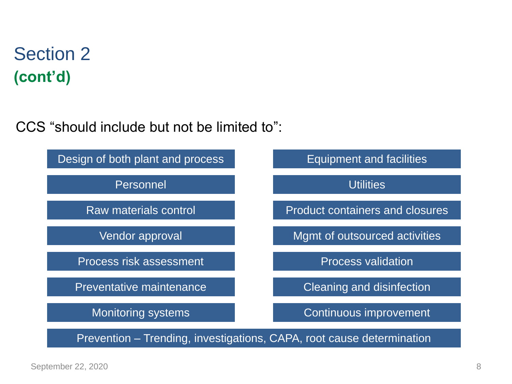CCS "should include but not be limited to":

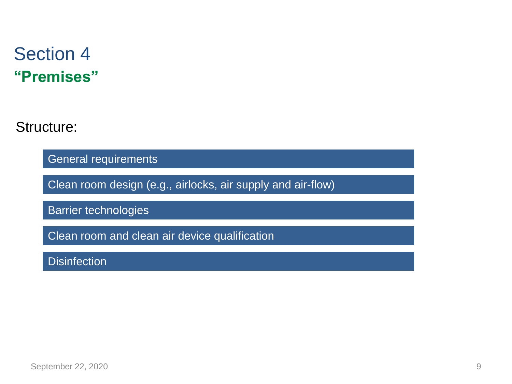#### **"Premises"** Section 4

Structure:

General requirements

Clean room design (e.g., airlocks, air supply and air-flow)

Barrier technologies

Clean room and clean air device qualification

**Disinfection**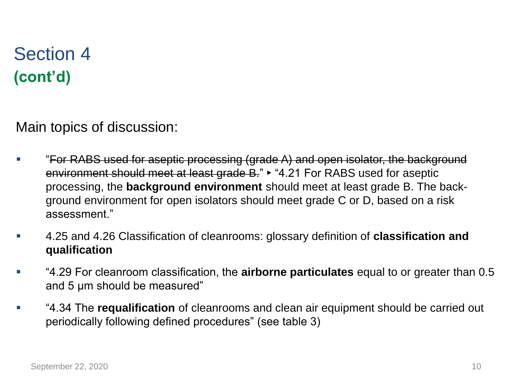Main topics of discussion:

- "For RABS used for aseptic processing (grade A) and open isolator, the background environment should meet at least grade B." ► "4.21 For RABS used for aseptic processing, the **background environment** should meet at least grade B. The background environment for open isolators should meet grade C or D, based on a risk assessment."
- 4.25 and 4.26 Classification of cleanrooms: glossary definition of **classification and qualification**
- "4.29 For cleanroom classification, the **airborne particulates** equal to or greater than 0.5 and 5 µm should be measured"
- "4.34 The **requalification** of cleanrooms and clean air equipment should be carried out periodically following defined procedures" (see table 3)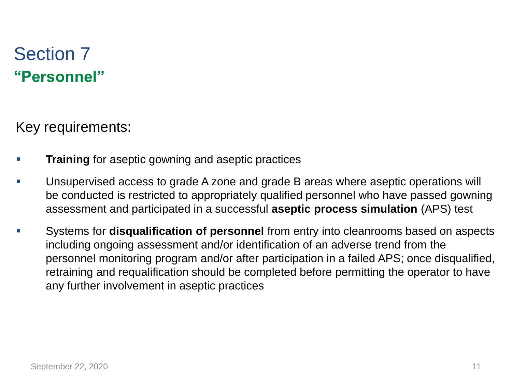#### **"Personnel"** Section 7

Key requirements:

- **Training** for aseptic gowning and aseptic practices
- Unsupervised access to grade A zone and grade B areas where aseptic operations will be conducted is restricted to appropriately qualified personnel who have passed gowning assessment and participated in a successful **aseptic process simulation** (APS) test
- Systems for **disqualification of personnel** from entry into cleanrooms based on aspects including ongoing assessment and/or identification of an adverse trend from the personnel monitoring program and/or after participation in a failed APS; once disqualified, retraining and requalification should be completed before permitting the operator to have any further involvement in aseptic practices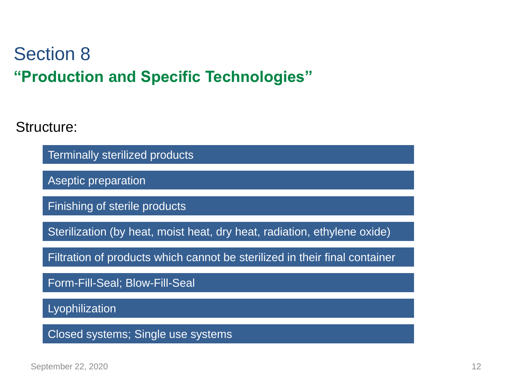## **"Production and Specific Technologies"** Section 8

Structure:

Terminally sterilized products

Aseptic preparation

Finishing of sterile products

Sterilization (by heat, moist heat, dry heat, radiation, ethylene oxide)

Filtration of products which cannot be sterilized in their final container

Form-Fill-Seal; Blow-Fill-Seal

Lyophilization

Closed systems; Single use systems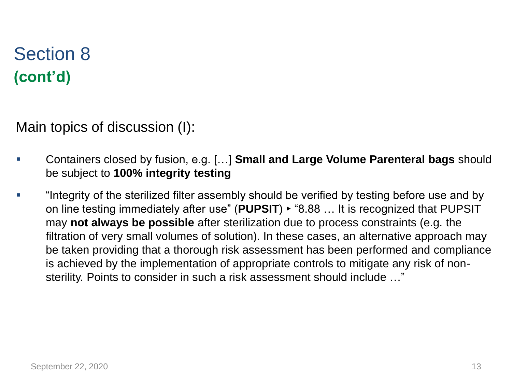Main topics of discussion (I):

- Containers closed by fusion, e.g. […] **Small and Large Volume Parenteral bags** should be subject to **100% integrity testing**
- "Integrity of the sterilized filter assembly should be verified by testing before use and by on line testing immediately after use" (**PUPSIT**) ► "8.88 … It is recognized that PUPSIT may **not always be possible** after sterilization due to process constraints (e.g. the filtration of very small volumes of solution). In these cases, an alternative approach may be taken providing that a thorough risk assessment has been performed and compliance is achieved by the implementation of appropriate controls to mitigate any risk of nonsterility. Points to consider in such a risk assessment should include …"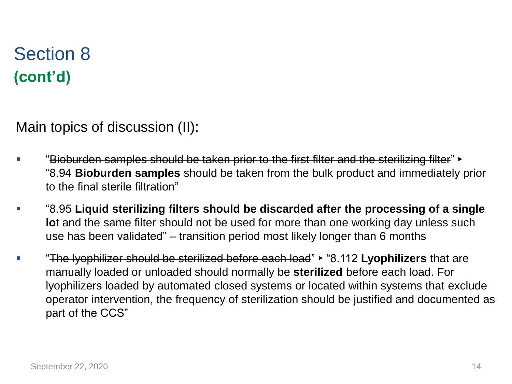Main topics of discussion (II):

- "Bioburden samples should be taken prior to the first filter and the sterilizing filter" ► "8.94 **Bioburden samples** should be taken from the bulk product and immediately prior to the final sterile filtration"
- "8.95 **Liquid sterilizing filters should be discarded after the processing of a single lo**t and the same filter should not be used for more than one working day unless such use has been validated" – transition period most likely longer than 6 months
- "The lyophilizer should be sterilized before each load" ► "8.112 **Lyophilizers** that are manually loaded or unloaded should normally be **sterilized** before each load. For lyophilizers loaded by automated closed systems or located within systems that exclude operator intervention, the frequency of sterilization should be justified and documented as part of the CCS"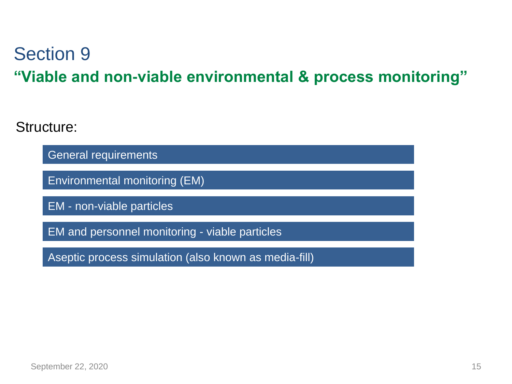## **"Viable and non-viable environmental & process monitoring"** Section 9

Structure:

General requirements

Environmental monitoring (EM)

EM - non-viable particles

EM and personnel monitoring - viable particles

Aseptic process simulation (also known as media-fill)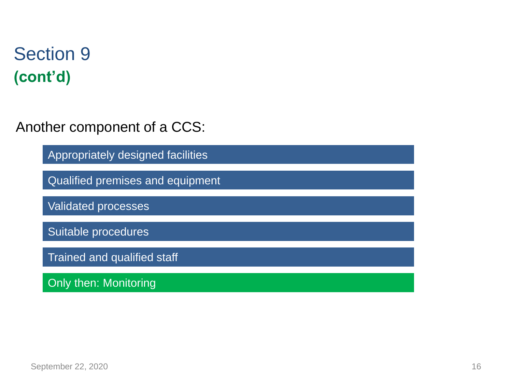Another component of a CCS:

Appropriately designed facilities

Qualified premises and equipment

Validated processes

Suitable procedures

Trained and qualified staff

Only then: Monitoring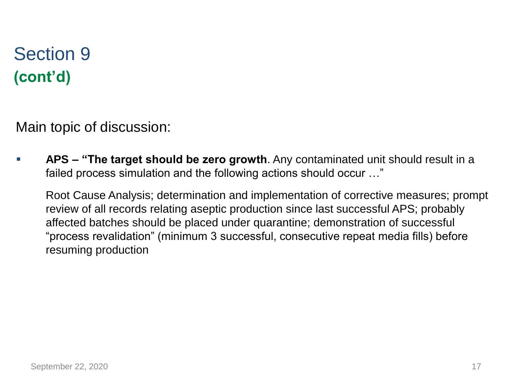Main topic of discussion:

APS – "The target should be zero growth. Any contaminated unit should result in a failed process simulation and the following actions should occur …"

Root Cause Analysis; determination and implementation of corrective measures; prompt review of all records relating aseptic production since last successful APS; probably affected batches should be placed under quarantine; demonstration of successful "process revalidation" (minimum 3 successful, consecutive repeat media fills) before resuming production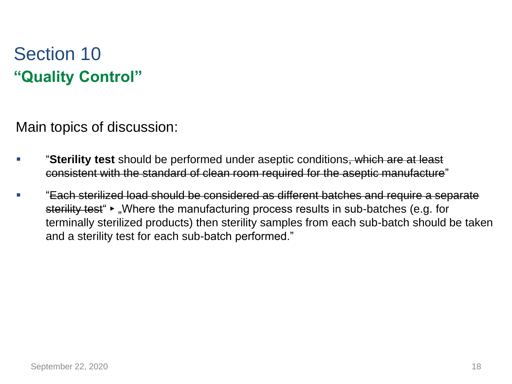# **"Quality Control"** Section 10

Main topics of discussion:

- **Sterility test** should be performed under aseptic conditions, which are at least consistent with the standard of clean room required for the aseptic manufacture"
- "Each sterilized load should be considered as different batches and require a separate sterility test • "Where the manufacturing process results in sub-batches (e.g. for terminally sterilized products) then sterility samples from each sub-batch should be taken and a sterility test for each sub-batch performed."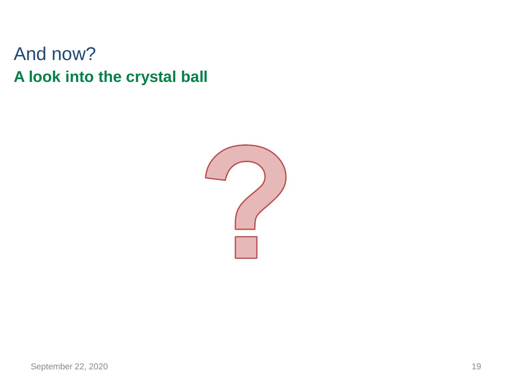#### **A look into the crystal ball** And now?